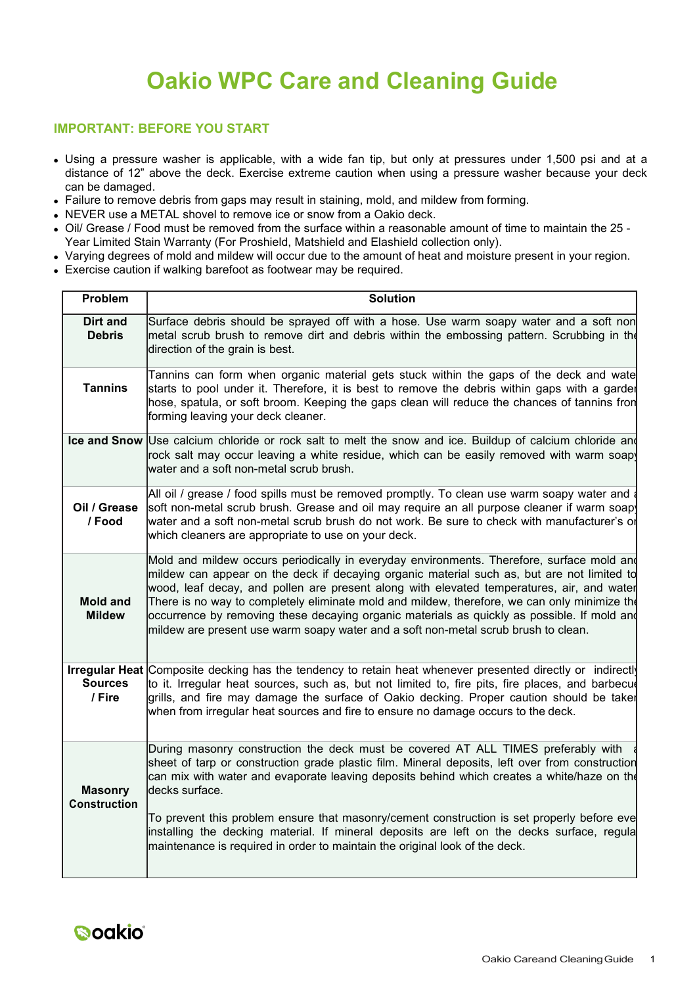# **Oakio WPC Care and Cleaning Guide**

## **IMPORTANT: BEFORE YOU START**

- Using a pressure washer is applicable, with a wide fan tip, but only at pressures under 1,500 psi and at a distance of 12" above the deck. Exercise extreme caution when using a pressure washer because your deck can be damaged.
- Failure to remove debris from gaps may result in staining, mold, and mildew from forming.
- NEVER use a METAL shovel to remove ice or snow from a Oakio deck.
- oil/ Grease / Food must be removed from the surface within a reasonable amount of time to maintain the 25 -Year Limited Stain Warranty (For Proshield, Matshield and Elashield collection only).
- Varying degrees of mold and mildew will occur due to the amount of heat and moisture present in your region.
- Exercise caution if walking barefoot as footwear may be required.

| Problem                               | <b>Solution</b>                                                                                                                                                                                                                                                                                                                                                                                                                                                                                                                                                           |  |  |
|---------------------------------------|---------------------------------------------------------------------------------------------------------------------------------------------------------------------------------------------------------------------------------------------------------------------------------------------------------------------------------------------------------------------------------------------------------------------------------------------------------------------------------------------------------------------------------------------------------------------------|--|--|
| Dirt and<br><b>Debris</b>             | Surface debris should be sprayed off with a hose. Use warm soapy water and a soft non<br>metal scrub brush to remove dirt and debris within the embossing pattern. Scrubbing in the<br>direction of the grain is best.                                                                                                                                                                                                                                                                                                                                                    |  |  |
| <b>Tannins</b>                        | Tannins can form when organic material gets stuck within the gaps of the deck and wate<br>starts to pool under it. Therefore, it is best to remove the debris within gaps with a garder<br>hose, spatula, or soft broom. Keeping the gaps clean will reduce the chances of tannins fron<br>forming leaving your deck cleaner.                                                                                                                                                                                                                                             |  |  |
|                                       | Ice and Snow Use calcium chloride or rock salt to melt the snow and ice. Buildup of calcium chloride and<br>rock salt may occur leaving a white residue, which can be easily removed with warm soap<br>water and a soft non-metal scrub brush.                                                                                                                                                                                                                                                                                                                            |  |  |
| Oil / Grease<br>/ Food                | All oil / grease / food spills must be removed promptly. To clean use warm soapy water and a<br>soft non-metal scrub brush. Grease and oil may require an all purpose cleaner if warm soap<br>water and a soft non-metal scrub brush do not work. Be sure to check with manufacturer's or<br>which cleaners are appropriate to use on your deck.                                                                                                                                                                                                                          |  |  |
| <b>Mold and</b><br><b>Mildew</b>      | Mold and mildew occurs periodically in everyday environments. Therefore, surface mold and<br>mildew can appear on the deck if decaying organic material such as, but are not limited to<br>wood, leaf decay, and pollen are present along with elevated temperatures, air, and water<br>There is no way to completely eliminate mold and mildew, therefore, we can only minimize the<br>occurrence by removing these decaying organic materials as quickly as possible. If mold and<br>mildew are present use warm soapy water and a soft non-metal scrub brush to clean. |  |  |
| <b>Sources</b><br>/ Fire              | Irregular Heat Composite decking has the tendency to retain heat whenever presented directly or indirectly<br>to it. Irregular heat sources, such as, but not limited to, fire pits, fire places, and barbecu<br>grills, and fire may damage the surface of Oakio decking. Proper caution should be taker<br>when from irregular heat sources and fire to ensure no damage occurs to the deck.                                                                                                                                                                            |  |  |
| <b>Masonry</b><br><b>Construction</b> | During masonry construction the deck must be covered AT ALL TIMES preferably with<br>sheet of tarp or construction grade plastic film. Mineral deposits, left over from construction<br>can mix with water and evaporate leaving deposits behind which creates a white/haze on the<br>decks surface.                                                                                                                                                                                                                                                                      |  |  |
|                                       | To prevent this problem ensure that masonry/cement construction is set properly before eve<br>installing the decking material. If mineral deposits are left on the decks surface, regula<br>maintenance is required in order to maintain the original look of the deck.                                                                                                                                                                                                                                                                                                   |  |  |

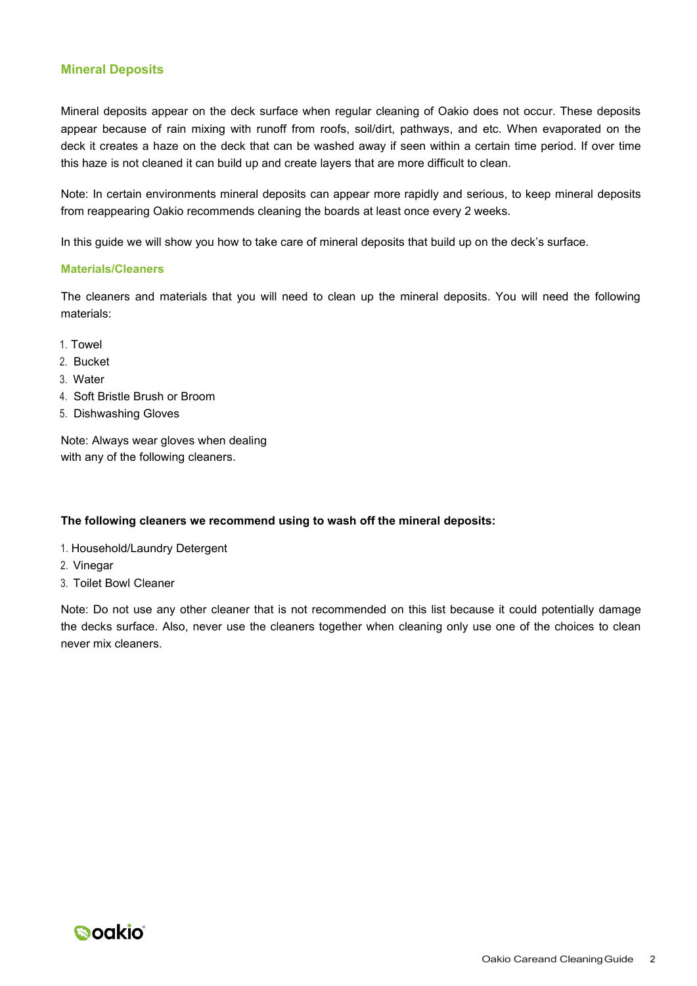## **Mineral Deposits**

Mineral deposits appear on the deck surface when regular cleaning of Oakio does not occur. These deposits appear because of rain mixing with runoff from roofs, soil/dirt, pathways, and etc. When evaporated on the deck it creates a haze on the deck that can be washed away if seen within a certain time period. If over time this haze is not cleaned it can build up and create layers that are more difficult to clean.

Note: In certain environments mineral deposits can appear more rapidly and serious, to keep mineral deposits from reappearing Oakio recommends cleaning the boards at least once every 2 weeks.

In this guide we will show you how to take care of mineral deposits that build up on the deck's surface.

#### **Materials/Cleaners**

The cleaners and materials that you will need to clean up the mineral deposits. You will need the following materials:

- 1. Towel
- 2. Bucket
- 3. Water
- 4. Soft Bristle Brush or Broom
- 5. Dishwashing Gloves

Note: Always wear gloves when dealing with any of the following cleaners.

## **The following cleaners we recommend using to wash off the mineral deposits:**

- 1. Household/Laundry Detergent
- 2. Vinegar
- 3. Toilet Bowl Cleaner

Note: Do not use any other cleaner that is not recommended on this list because it could potentially damage the decks surface. Also, never use the cleaners together when cleaning only use one of the choices to clean never mix cleaners.